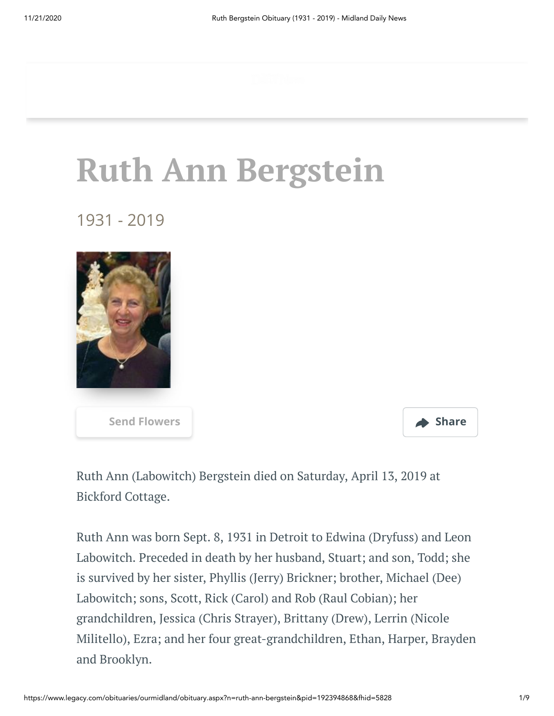## **Ruth Ann Bergstein**

1931 - 2019





Ruth Ann (Labowitch) Bergstein died on Saturday, April 13, 2019 at Bickford Cottage.

Ruth Ann was born Sept. 8, 1931 in Detroit to Edwina (Dryfuss) and Leon Labowitch. Preceded in death by her husband, Stuart; and son, Todd; she is survived by her sister, Phyllis (Jerry) Brickner; brother, Michael (Dee) Labowitch; sons, Scott, Rick (Carol) and Rob (Raul Cobian); her grandchildren, Jessica (Chris Strayer), Brittany (Drew), Lerrin (Nicole Militello), Ezra; and her four great-grandchildren, Ethan, Harper, Brayden and Brooklyn.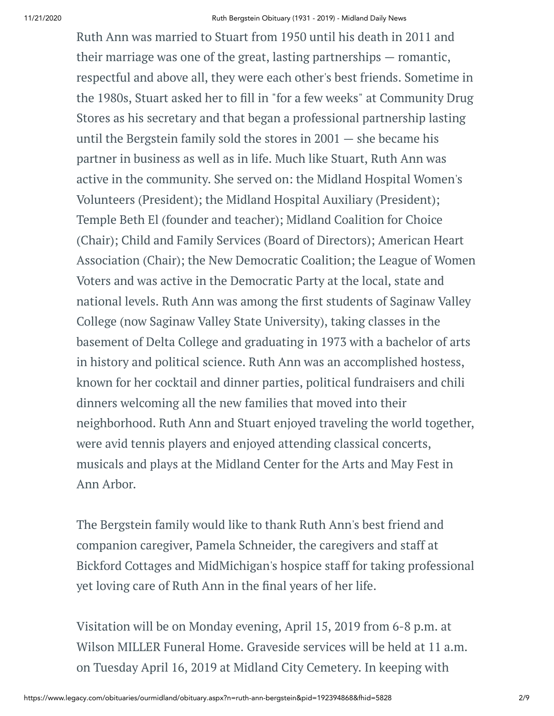Ruth Ann was married to Stuart from 1950 until his death in 2011 and their marriage was one of the great, lasting partnerships — romantic, respectful and above all, they were each other's best friends. Sometime in the 1980s, Stuart asked her to fill in "for a few weeks" at Community Drug Stores as his secretary and that began a professional partnership lasting until the Bergstein family sold the stores in 2001 — she became his partner in business as well as in life. Much like Stuart, Ruth Ann was active in the community. She served on: the Midland Hospital Women's Volunteers (President); the Midland Hospital Auxiliary (President); Temple Beth El (founder and teacher); Midland Coalition for Choice (Chair); Child and Family Services (Board of Directors); American Heart Association (Chair); the New Democratic Coalition; the League of Women Voters and was active in the Democratic Party at the local, state and national levels. Ruth Ann was among the first students of Saginaw Valley College (now Saginaw Valley State University), taking classes in the basement of Delta College and graduating in 1973 with a bachelor of arts in history and political science. Ruth Ann was an accomplished hostess, known for her cocktail and dinner parties, political fundraisers and chili dinners welcoming all the new families that moved into their neighborhood. Ruth Ann and Stuart enjoyed traveling the world together, were avid tennis players and enjoyed attending classical concerts, musicals and plays at the Midland Center for the Arts and May Fest in Ann Arbor.

The Bergstein family would like to thank Ruth Ann's best friend and companion caregiver, Pamela Schneider, the caregivers and staff at Bickford Cottages and MidMichigan's hospice staff for taking professional yet loving care of Ruth Ann in the final years of her life.

Visitation will be on Monday evening, April 15, 2019 from 6-8 p.m. at Wilson MILLER Funeral Home. Graveside services will be held at 11 a.m. on Tuesday April 16, 2019 at Midland City Cemetery. In keeping with